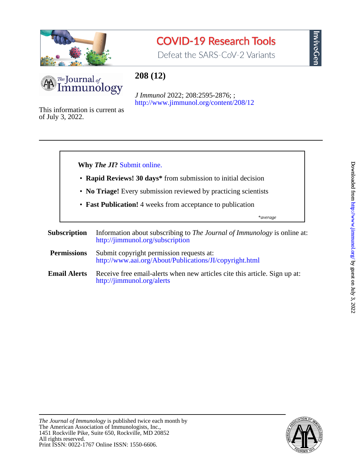

## **COVID-19 Research Tools**

Defeat the SARS-CoV-2 Variants



### **208 (12)**

<http://www.jimmunol.org/content/208/12> *J Immunol* 2022; 208:2595-2876; ;

of July 3, 2022. This information is current as



InvivoGen

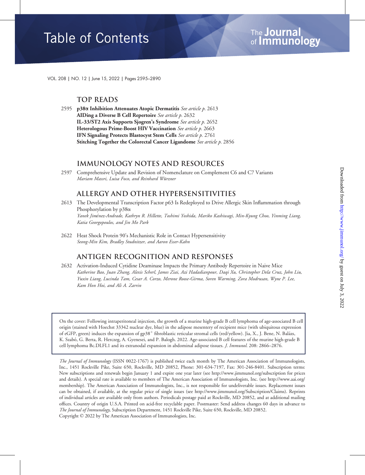# **Table of Contents**

VOL. 208 | NO. 12 | June 15, 2022 | Pages 2595–2890

#### Top Reads

2595 p38 $\alpha$  Inhibition Attenuates Atopic Dermatitis See article p. 2613 AIDing a Diverse B Cell Repertoire See article p. 2632 IL-33/ST2 Axis Supports Sjogren's Syndrome See article p. 2652 Heterologous Prime-Boost HIV Vaccination See article p. 2663 IFN Signaling Protects Blastocyst Stem Cells See article p. 2761 Stitching Together the Colorectal Cancer Ligandome See article p. 2856

#### Immunology Notes and Resources

2597 Comprehensive Update and Revision of Nomenclature on Complement C6 and C7 Variants Mariam Massri, Luisa Foco, and Reinhard Würzner

#### Allergy and Other Hypersensitivities

- 2613 The Developmental Transcription Factor p63 Is Redeployed to Drive Allergic Skin Inflammation through Phosphorylation by  $p38\alpha$ Yanek Jimenez-Andrade, Kathryn R. Hillette, Toshimi Yoshida, Mariko Kashiwagi, Min-Kyung Choo, Yinming Liang, Katia Georgopoulos, and Jin Mo Park
- 2622 Heat Shock Protein 90's Mechanistic Role in Contact Hypersensitivity Seong-Min Kim, Bradley Studnitzer, and Aaron Esser-Kahn

#### Antigen Recognition and Responses

2632 Activation-Induced Cytidine Deaminase Impacts the Primary Antibody Repertoire in Naive Mice Katherine Bao, Juan Zhang, Alexis Scherl, James Ziai, Azi Hadadianpour, Daqi Xu, Christopher Dela Cruz, John Liu, Yuxin Liang, Lucinda Tam, Cesar A. Corzo, Merone Roose-Girma, Soren Warming, Zora Modrusan, Wyne P. Lee, Kam Hon Hoi, and Ali A. Zarrin

On the cover: Following intraperitoneal injection, the growth of a murine high-grade B cell lymphoma of age-associated B cell origin (stained with Hoechst 33342 nuclear dye, blue) in the adipose mesentery of recipient mice (with ubiquitous expression of eGFP, green) induces the expansion of gp38<sup>+</sup> fibroblastic reticular stromal cells (red/yellow). Jia, X., J. Bene, N. Balázs, K. Szabó, G. Berta, R. Herczeg, A. Gyenesei, and P. Balogh. 2022. Age-associated B cell features of the murine high-grade B cell lymphoma Bc.DLFL1 and its extranodal expansion in abdominal adipose tissues. J. Immunol. 208: 2866–2876.

The Journal of Immunology (ISSN 0022-1767) is published twice each month by The American Association of Immunologists, Inc., 1451 Rockville Pike, Suite 650, Rockville, MD 20852, Phone: 301-634-7197, Fax: 301-246-8401. Subscription terms: New subscriptions and renewals begin January 1 and expire one year later (see http://www.jimmunol.org/subscription for prices and details). A special rate is available to members of The American Association of Immunologists, Inc. (see http://www.aai.org/ membership). The American Association of Immunologists, Inc., is not responsible for undeliverable issues. Replacement issues can be obtained, if available, at the regular price of single issues (see http://www.jimmunol.org/Subscription/Claims). Reprints of individual articles are available only from authors. Periodicals postage paid at Rockville, MD 20852, and at additional mailing offices. Country of origin U.S.A. Printed on acid-free recyclable paper. Postmaster: Send address changes 60 days in advance to The Journal of Immunology, Subscription Department, 1451 Rockville Pike, Suite 650, Rockville, MD 20852. Copyright © 2022 by The American Association of Immunologists, Inc.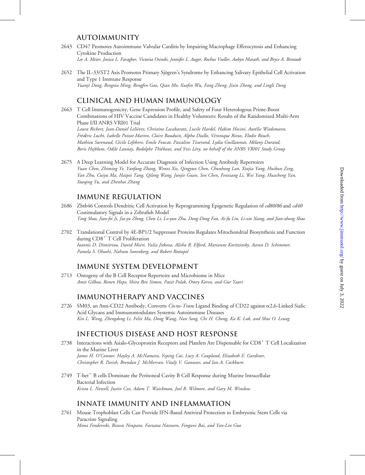#### **AUTOIMMUNITY**

- 2643 CD47 Promotes Autoimmune Valvular Carditis by Impairing Macrophage Efferocytosis and Enhancing Cytokine Production Lee A. Meier, Jessica L. Faragher, Victoria Osinski, Jennifer L. Auger, Rochus Voeller, Aubyn Marath, and Bryce A. Binstadt
- 2652 The IL-33/ST2 Axis Promotes Primary Sjögren's Syndrome by Enhancing Salivary Epithelial Cell Activation and Type 1 Immune Response Yuanji Dong, Bingxia Ming, Rongfen Gao, Qian Mo, Xuefen Wu, Fang Zheng, Jixin Zhong, and Lingli Dong

#### Clinical and Human Immunology

- 2663 T Cell Immunogenicity, Gene Expression Profile, and Safety of Four Heterologous Prime-Boost Combinations of HIV Vaccine Candidates in Healthy Volunteers: Results of the Randomized Multi-Arm Phase I/II ANRS VRI01 Trial Laura Richert, Jean-Daniel Lelièvre, Christine Lacabaratz, Lucile Hardel, Hakim Hocini, Aurélie Wiedemann, Frédéric Lucht, Isabelle Poizot-Martin, Claire Bauduin, Alpha Diallo, Véronique Rieux, Elodie Rouch, Mathieu Surenaud, Cécile Lefebvre, Emile Foucat, Pascaline Tisserand, Lydia Guillaumat, Mélany Durand, Boris Hejblum, Odile Launay, Rodolphe Thiébaut, and Yves Lévy, on behalf of the ANRS VRI01 Study Group
- 2675 A Deep Learning Model for Accurate Diagnosis of Infection Using Antibody Repertoires Yuan Chen, Zhiming Ye, Yanfang Zhang, Wenxi Xie, Qingyun Chen, Chunhong Lan, Xiujia Yang, Huikun Zeng, Yan Zhu, Cuiyu Ma, Haipei Tang, Qilong Wang, Junjie Guan, Sen Chen, Fenxiang Li, Wei Yang, Huacheng Yan, Xueqing Yu, and Zhenhai Zhang

#### Immune Regulation

- 2686 Zbtb46 Controls Dendritic Cell Activation by Reprogramming Epigenetic Regulation of cd80/86 and cd40 Costimulatory Signals in a Zebrafish Model Tong Shao, Jian-fei Ji, Jia-yu Zheng, Chen Li, Lv-yun Zhu, Dong-Dong Fan, Ai-fu Lin, Li-xin Xiang, and Jian-zhong Shao
- 2702 Translational Control by 4E-BP1/2 Suppressor Proteins Regulates Mitochondrial Biosynthesis and Function during  $CD8<sup>+</sup> T$  Cell Proliferation Ioannis D. Dimitriou, David Meiri, Yulia Jitkova, Alisha R. Elford, Marianne Koritzinsky, Aaron D. Schimmer, Pamela S. Ohashi, Nahum Sonenberg, and Robert Rottapel

#### Immune System Development

2713 Ontogeny of the B Cell Receptor Repertoire and Microbiome in Mice Amit Gilboa, Ronen Hope, Shira Ben Simon, Pazit Polak, Omry Koren, and Gur Yaari

#### Immunotherapy and Vaccines

2726 SM03, an Anti-CD22 Antibody, Converts Cis-to-Trans Ligand Binding of CD22 against  $\alpha$ 2,6-Linked Sialic Acid Glycans and Immunomodulates Systemic Autoimmune Diseases Kin L. Wong, Zhengdong Li, Felix Ma, Dong Wang, Nan Song, Chi H. Chong, Ka K. Luk, and Shui O. Leung

#### Infectious Disease and Host Response

- 2738 Interactions with Asialo-Glycoprotein Receptors and Platelets Are Dispensable for  $CD8<sup>+</sup> T$  Cell Localization in the Murine Liver James H. O'Connor, Hayley A. McNamara, Yeping Cai, Lucy A. Coupland, Elizabeth E. Gardiner, Christopher R. Parish, Brendan J. McMorran, Vitaly V. Ganusov, and Ian A. Cockburn
- $2749$  T-bet<sup>+</sup> B cells Dominate the Peritoneal Cavity B Cell Response during Murine Intracellular Bacterial Infection Krista L. Newell, Justin Cox, Adam T. Waickman, Joel R. Wilmore, and Gary M. Winslow

#### Innate Immunity and Inflammation

2761 Mouse Trophoblast Cells Can Provide IFN-Based Antiviral Protection to Embryonic Stem Cells via Paracrine Signaling Mona Fendereski, Biswas Neupane, Farzana Nazneen, Fengwei Bai, and Yan-Lin Guo